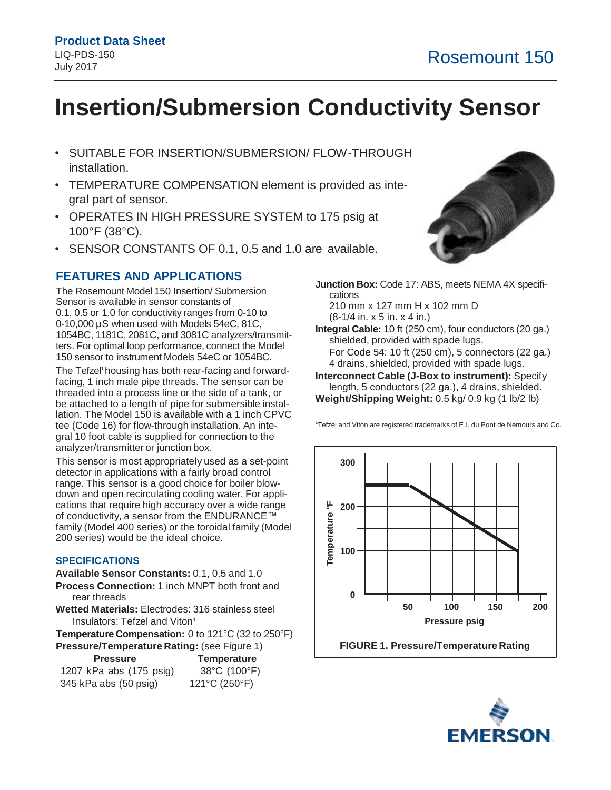# **Insertion/Submersion Conductivity Sensor**

- SUITABLE FOR INSERTION/SUBMERSION/ FLOW-THROUGH installation.
- TEMPERATURE COMPENSATION element is provided as integral part of sensor.
- OPERATES IN HIGH PRESSURE SYSTEM to 175 psig at 100°F (38°C).
- SENSOR CONSTANTS OF 0.1, 0.5 and 1.0 are available.

# **FEATURES AND APPLICATIONS**

The Rosemount Model 150 Insertion/ Submersion Sensor is available in sensor constants of 0.1, 0.5 or 1.0 for conductivity ranges from 0-10 to 0-10,000 μS when used with Models 54eC, 81C, 1054BC, 1181C, 2081C, and 3081C analyzers/transmitters. For optimal loop performance, connect the Model 150 sensor to instrument Models 54eC or 1054BC.

The Tefzel <sup>1</sup> housing has both rear-facing and forwardfacing, 1 inch male pipe threads. The sensor can be threaded into a process line or the side of a tank, or be attached to a length of pipe for submersible installation. The Model 150 is available with a 1 inch CPVC tee (Code 16) for flow-through installation. An integral 10 foot cable is supplied for connection to the analyzer/transmitter or junction box.

This sensor is most appropriately used as a set-point detector in applications with a fairly broad control range. This sensor is a good choice for boiler blowdown and open recirculating cooling water. For applications that require high accuracy over a wide range of conductivity, a sensor from the ENDURANCE™ family (Model 400 series) or the toroidal family (Model 200 series) would be the ideal choice.

#### **SPECIFICATIONS**

**Available Sensor Constants:** 0.1, 0.5 and 1.0 **Process Connection:** 1 inch MNPT both front and

rear threads **Wetted Materials:** Electrodes: 316 stainless steel Insulators: Tefzel and Viton 1

**Temperature Compensation:** 0 to 121°C (32 to 250°F) **Pressure/Temperature Rating: (see Figure 1)** 

|                         | <u>J (France John J</u> |
|-------------------------|-------------------------|
| <b>Pressure</b>         | <b>Temperature</b>      |
| 1207 kPa abs (175 psig) | 38°C (100°F)            |
| 345 kPa abs (50 psig)   | 121°C (250°F)           |



**Junction Box:** Code 17: ABS, meets NEMA 4X specifications 210 mm x 127 mm H x 102 mm D (8-1/4 in. x 5 in. x 4 in.)

**Integral Cable:** 10 ft (250 cm), four conductors (20 ga.) shielded, provided with spade lugs. For Code 54: 10 ft (250 cm), 5 connectors (22 ga.) 4 drains, shielded, provided with spade lugs.

**Interconnect Cable (J-Box to instrument):** Specify length, 5 conductors (22 ga.), 4 drains, shielded. **Weight/Shipping Weight:** 0.5 kg/ 0.9 kg (1 lb/2 lb)

<sup>1</sup>Tefzel and Viton are registered trademarks of E.I. du Pont de Nemours and Co.



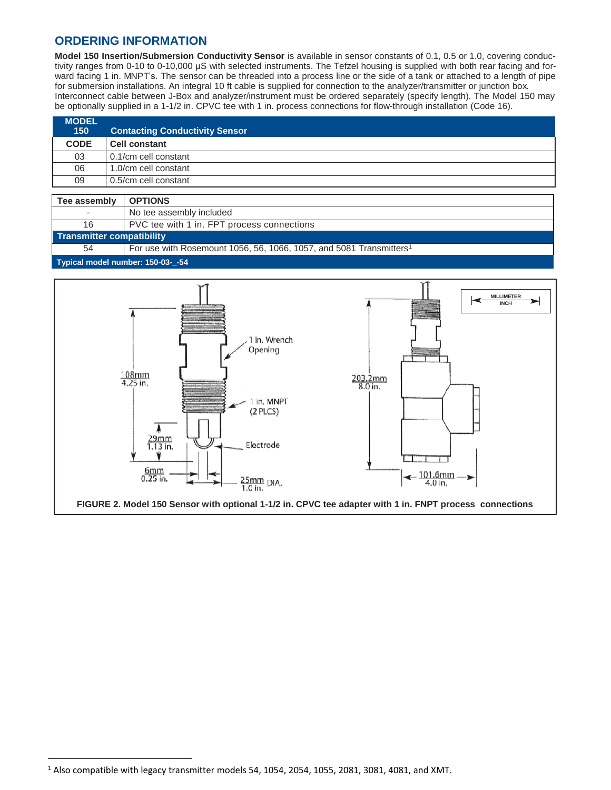# **ORDERING INFORMATION**

**Model 150 Insertion/Submersion Conductivity Sensor** is available in sensor constants of 0.1, 0.5 or 1.0, covering conductivity ranges from 0-10 to 0-10,000 μS with selected instruments. The Tefzel housing is supplied with both rear facing and forward facing 1 in. MNPT's. The sensor can be threaded into a process line or the side of a tank or attached to a length of pipe for submersion installations. An integral 10 ft cable is supplied for connection to the analyzer/transmitter or junction box. Interconnect cable between J-Box and analyzer/instrument must be ordered separately (specify length). The Model 150 may be optionally supplied in a 1-1/2 in. CPVC tee with 1 in. process connections for flow-through installation (Code 16).

| <b>MODEL</b><br>150 | <b>Contacting Conductivity Sensor</b> |
|---------------------|---------------------------------------|
| <b>CODE</b>         | <b>Cell constant</b>                  |
| 03                  | 0.1/cm cell constant                  |
| 06                  | 1.0/cm cell constant                  |
| 09                  | 0.5/cm cell constant                  |
|                     |                                       |

| Tee assembly                      | I OPTIONS                                                                       |  |
|-----------------------------------|---------------------------------------------------------------------------------|--|
| $\overline{\phantom{a}}$          | No tee assembly included                                                        |  |
| 16                                | PVC tee with 1 in. FPT process connections                                      |  |
| <b>Transmitter compatibility</b>  |                                                                                 |  |
| 54                                | For use with Rosemount 1056, 56, 1066, 1057, and 5081 Transmitters <sup>1</sup> |  |
| Typical model number: 150-03-_-54 |                                                                                 |  |



 $\overline{\phantom{a}}$ 

 $1$  Also compatible with legacy transmitter models 54, 1054, 2054, 1055, 2081, 3081, 4081, and XMT.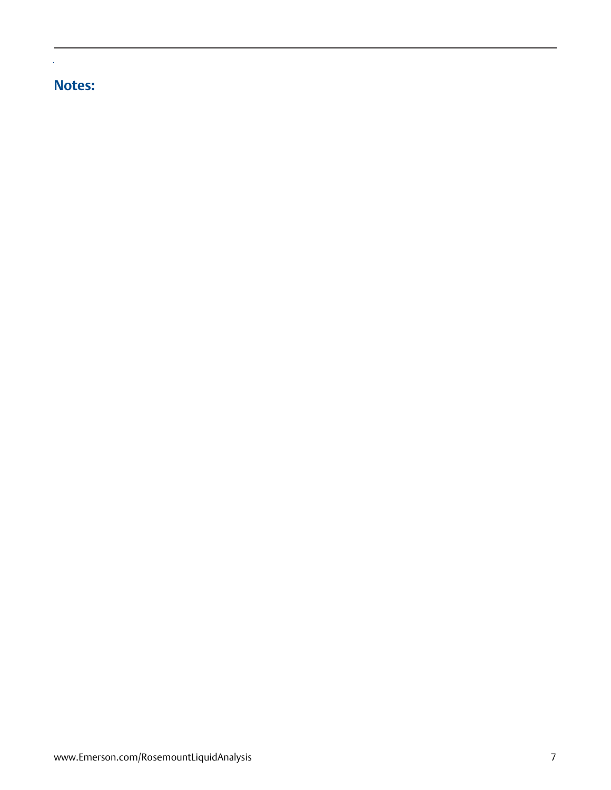# **Notes:**

l.